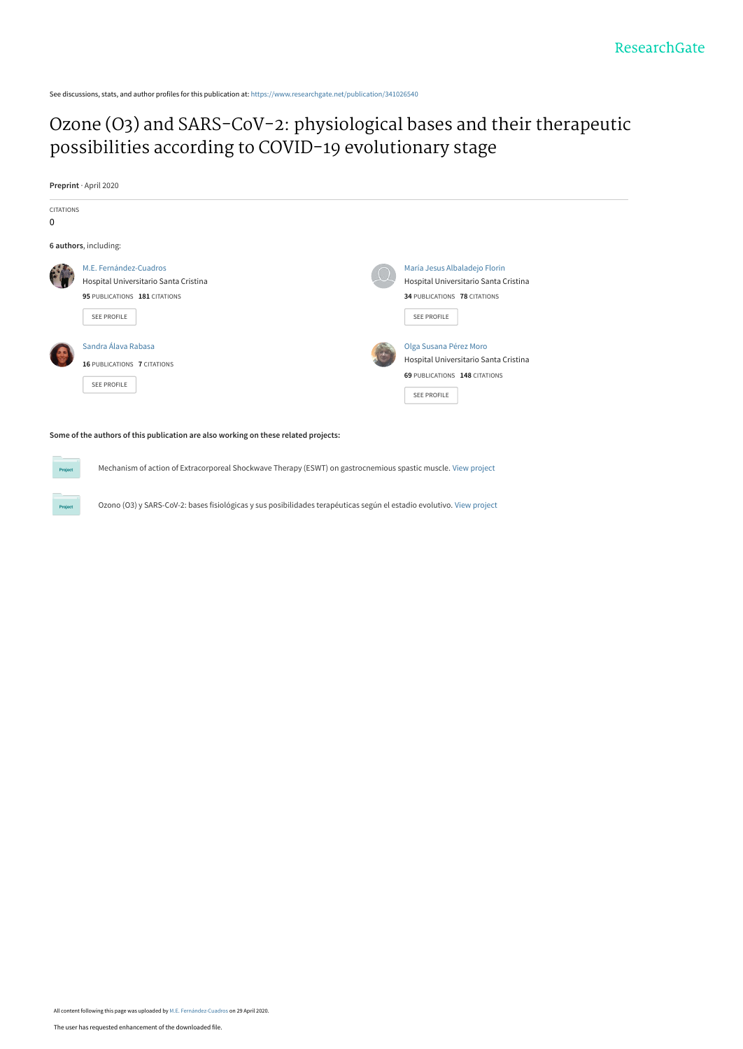See discussions, stats, and author profiles for this publication at: [https://www.researchgate.net/publication/341026540](https://www.researchgate.net/publication/341026540_Ozone_O3_and_SARS-CoV-2_physiological_bases_and_their_therapeutic_possibilities_according_to_COVID-19_evolutionary_stage?enrichId=rgreq-13f85e597ed4b6b0edeedfcca48eb2bc-XXX&enrichSource=Y292ZXJQYWdlOzM0MTAyNjU0MDtBUzo4ODU2ODkyMTg1MTQ5NDVAMTU4ODE3NjE3MzUwNA%3D%3D&el=1_x_2&_esc=publicationCoverPdf)

# [Ozone \(O3\) and SARS-CoV-2: physiological bases and their therapeutic](https://www.researchgate.net/publication/341026540_Ozone_O3_and_SARS-CoV-2_physiological_bases_and_their_therapeutic_possibilities_according_to_COVID-19_evolutionary_stage?enrichId=rgreq-13f85e597ed4b6b0edeedfcca48eb2bc-XXX&enrichSource=Y292ZXJQYWdlOzM0MTAyNjU0MDtBUzo4ODU2ODkyMTg1MTQ5NDVAMTU4ODE3NjE3MzUwNA%3D%3D&el=1_x_3&_esc=publicationCoverPdf) possibilities according to COVID-19 evolutionary stage

**Preprint** · April 2020



#### **Some of the authors of this publication are also working on these related projects:**

Mechanism of action of Extracorporeal Shockwave Therapy (ESWT) on gastrocnemious spastic muscle. [View project](https://www.researchgate.net/project/Mechanism-of-action-of-Extracorporeal-Shockwave-Therapy-ESWT-on-gastrocnemious-spastic-muscle?enrichId=rgreq-13f85e597ed4b6b0edeedfcca48eb2bc-XXX&enrichSource=Y292ZXJQYWdlOzM0MTAyNjU0MDtBUzo4ODU2ODkyMTg1MTQ5NDVAMTU4ODE3NjE3MzUwNA%3D%3D&el=1_x_9&_esc=publicationCoverPdf)

Ozono (O3) y SARS-CoV-2: bases fisiológicas y sus posibilidades terapéuticas según el estadio evolutivo. [View project](https://www.researchgate.net/project/Ozono-O3-y-SARS-CoV-2-bases-fisiologicas-y-sus-posibilidades-terapeuticas-segun-el-estadio-evolutivo?enrichId=rgreq-13f85e597ed4b6b0edeedfcca48eb2bc-XXX&enrichSource=Y292ZXJQYWdlOzM0MTAyNjU0MDtBUzo4ODU2ODkyMTg1MTQ5NDVAMTU4ODE3NjE3MzUwNA%3D%3D&el=1_x_9&_esc=publicationCoverPdf)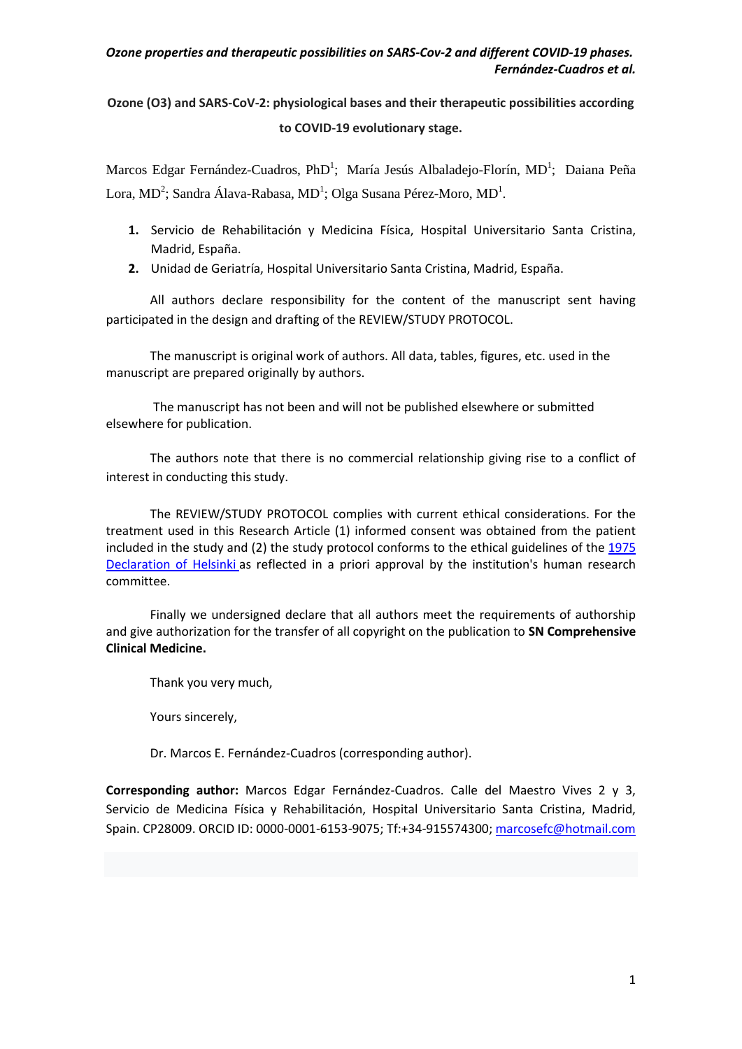# **Ozone (O3) and SARS-CoV-2: physiological bases and their therapeutic possibilities according to COVID-19 evolutionary stage.**

Marcos Edgar Fernández-Cuadros, PhD<sup>1</sup>; María Jesús Albaladejo-Florín, MD<sup>1</sup>; Daiana Peña Lora, MD<sup>2</sup>; Sandra Álava-Rabasa, MD<sup>1</sup>; Olga Susana Pérez-Moro, MD<sup>1</sup>.

- **1.** Servicio de Rehabilitación y Medicina Física, Hospital Universitario Santa Cristina, Madrid, España.
- **2.** Unidad de Geriatría, Hospital Universitario Santa Cristina, Madrid, España.

All authors declare responsibility for the content of the manuscript sent having participated in the design and drafting of the REVIEW/STUDY PROTOCOL.

The manuscript is original work of authors. All data, tables, figures, etc. used in the manuscript are prepared originally by authors.

The manuscript has not been and will not be published elsewhere or submitted elsewhere for publication.

The authors note that there is no commercial relationship giving rise to a conflict of interest in conducting this study.

The REVIEW/STUDY PROTOCOL complies with current ethical considerations. For the treatment used in this Research Article (1) informed consent was obtained from the patient included in the study and (2) the study protocol conforms to the ethical guidelines of the 1975 [Declaration of Helsinki](http://en.wikipedia.org/wiki/Declaration_of_Helsinki) as reflected in a priori approval by the institution's human research committee.

Finally we undersigned declare that all authors meet the requirements of authorship and give authorization for the transfer of all copyright on the publication to **SN Comprehensive Clinical Medicine.**

Thank you very much,

Yours sincerely,

Dr. Marcos E. Fernández-Cuadros (corresponding author).

**Corresponding author:** Marcos Edgar Fernández-Cuadros. Calle del Maestro Vives 2 y 3, Servicio de Medicina Física y Rehabilitación, Hospital Universitario Santa Cristina, Madrid, Spain. CP28009. ORCID ID: 0000-0001-6153-9075; Tf:+34-915574300[; marcosefc@hotmail.com](mailto:marcosefc@hotmail.com)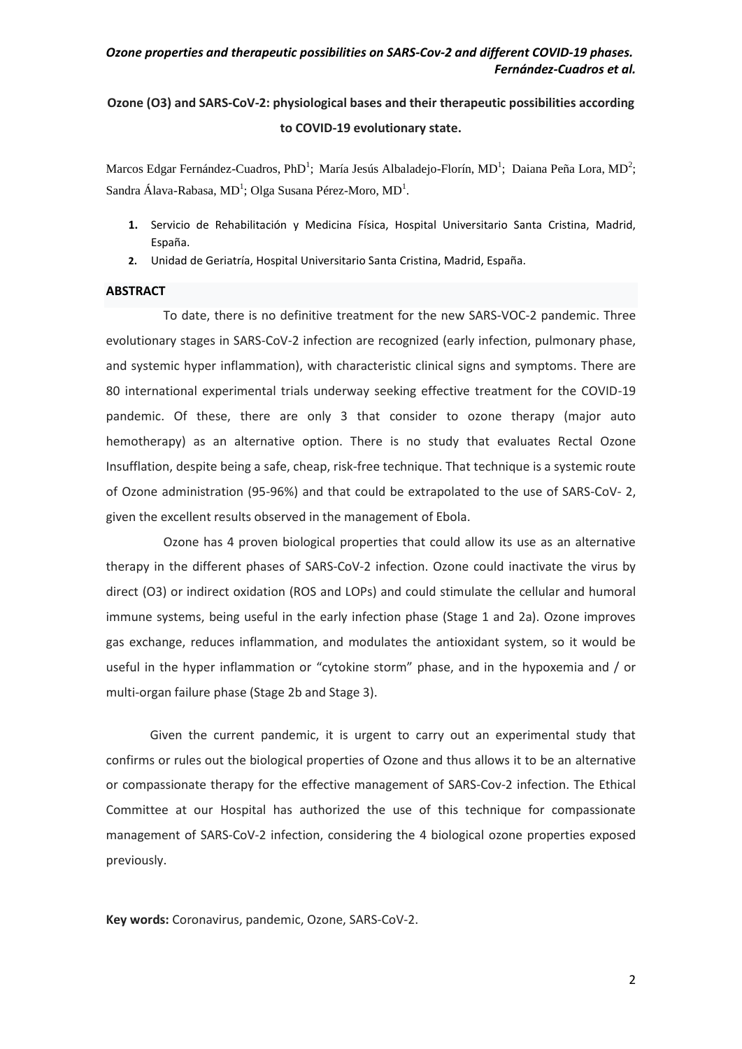# **Ozone (O3) and SARS-CoV-2: physiological bases and their therapeutic possibilities according to COVID-19 evolutionary state.**

Marcos Edgar Fernández-Cuadros, PhD<sup>1</sup>; María Jesús Albaladejo-Florín, MD<sup>1</sup>; Daiana Peña Lora, MD<sup>2</sup>; Sandra Álava-Rabasa, MD<sup>1</sup>; Olga Susana Pérez-Moro, MD<sup>1</sup>.

- **1.** Servicio de Rehabilitación y Medicina Física, Hospital Universitario Santa Cristina, Madrid, España.
- **2.** Unidad de Geriatría, Hospital Universitario Santa Cristina, Madrid, España.

#### **ABSTRACT**

To date, there is no definitive treatment for the new SARS-VOC-2 pandemic. Three evolutionary stages in SARS-CoV-2 infection are recognized (early infection, pulmonary phase, and systemic hyper inflammation), with characteristic clinical signs and symptoms. There are 80 international experimental trials underway seeking effective treatment for the COVID-19 pandemic. Of these, there are only 3 that consider to ozone therapy (major auto hemotherapy) as an alternative option. There is no study that evaluates Rectal Ozone Insufflation, despite being a safe, cheap, risk-free technique. That technique is a systemic route of Ozone administration (95-96%) and that could be extrapolated to the use of SARS-CoV- 2, given the excellent results observed in the management of Ebola.

Ozone has 4 proven biological properties that could allow its use as an alternative therapy in the different phases of SARS-CoV-2 infection. Ozone could inactivate the virus by direct (O3) or indirect oxidation (ROS and LOPs) and could stimulate the cellular and humoral immune systems, being useful in the early infection phase (Stage 1 and 2a). Ozone improves gas exchange, reduces inflammation, and modulates the antioxidant system, so it would be useful in the hyper inflammation or "cytokine storm" phase, and in the hypoxemia and / or multi-organ failure phase (Stage 2b and Stage 3).

Given the current pandemic, it is urgent to carry out an experimental study that confirms or rules out the biological properties of Ozone and thus allows it to be an alternative or compassionate therapy for the effective management of SARS-Cov-2 infection. The Ethical Committee at our Hospital has authorized the use of this technique for compassionate management of SARS-CoV-2 infection, considering the 4 biological ozone properties exposed previously.

**Key words:** Coronavirus, pandemic, Ozone, SARS-CoV-2.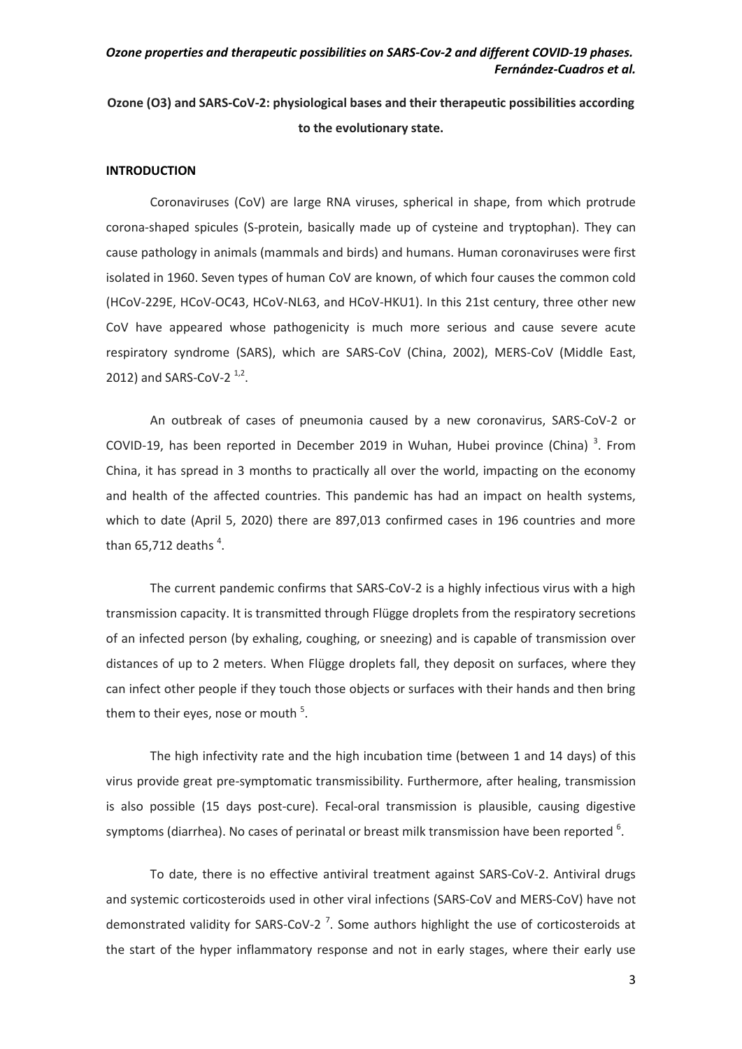# **Ozone (O3) and SARS-CoV-2: physiological bases and their therapeutic possibilities according to the evolutionary state.**

#### **INTRODUCTION**

Coronaviruses (CoV) are large RNA viruses, spherical in shape, from which protrude corona-shaped spicules (S-protein, basically made up of cysteine and tryptophan). They can cause pathology in animals (mammals and birds) and humans. Human coronaviruses were first isolated in 1960. Seven types of human CoV are known, of which four causes the common cold (HCoV-229E, HCoV-OC43, HCoV-NL63, and HCoV-HKU1). In this 21st century, three other new CoV have appeared whose pathogenicity is much more serious and cause severe acute respiratory syndrome (SARS), which are SARS-CoV (China, 2002), MERS-CoV (Middle East, 2012) and SARS-CoV-2 $^{1,2}$ .

An outbreak of cases of pneumonia caused by a new coronavirus, SARS-CoV-2 or COVID-19, has been reported in December 2019 in Wuhan, Hubei province (China)<sup>3</sup>. From China, it has spread in 3 months to practically all over the world, impacting on the economy and health of the affected countries. This pandemic has had an impact on health systems, which to date (April 5, 2020) there are 897,013 confirmed cases in 196 countries and more than 65,712 deaths  $4$ .

The current pandemic confirms that SARS-CoV-2 is a highly infectious virus with a high transmission capacity. It is transmitted through Flügge droplets from the respiratory secretions of an infected person (by exhaling, coughing, or sneezing) and is capable of transmission over distances of up to 2 meters. When Flügge droplets fall, they deposit on surfaces, where they can infect other people if they touch those objects or surfaces with their hands and then bring them to their eyes, nose or mouth <sup>5</sup>.

The high infectivity rate and the high incubation time (between 1 and 14 days) of this virus provide great pre-symptomatic transmissibility. Furthermore, after healing, transmission is also possible (15 days post-cure). Fecal-oral transmission is plausible, causing digestive symptoms (diarrhea). No cases of perinatal or breast milk transmission have been reported  $6$ .

To date, there is no effective antiviral treatment against SARS-CoV-2. Antiviral drugs and systemic corticosteroids used in other viral infections (SARS-CoV and MERS-CoV) have not demonstrated validity for SARS-CoV-2<sup>7</sup>. Some authors highlight the use of corticosteroids at the start of the hyper inflammatory response and not in early stages, where their early use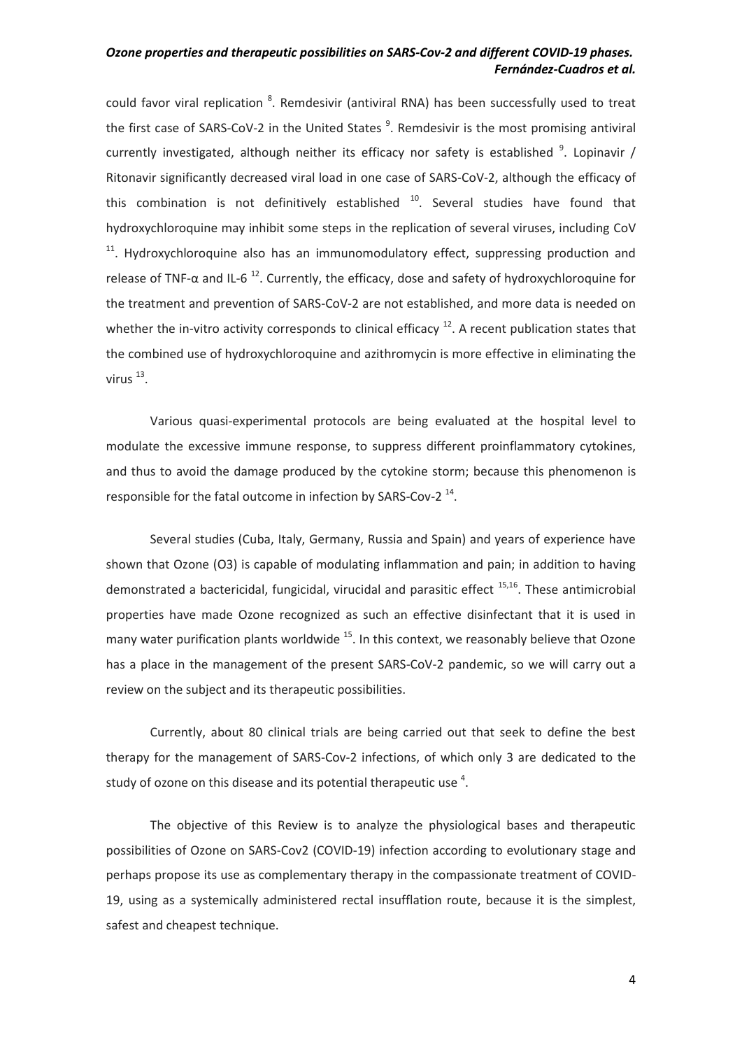could favor viral replication <sup>8</sup>. Remdesivir (antiviral RNA) has been successfully used to treat the first case of SARS-CoV-2 in the United States<sup>9</sup>. Remdesivir is the most promising antiviral currently investigated, although neither its efficacy nor safety is established  $9$ . Lopinavir / Ritonavir significantly decreased viral load in one case of SARS-CoV-2, although the efficacy of this combination is not definitively established  $10$ . Several studies have found that hydroxychloroquine may inhibit some steps in the replication of several viruses, including CoV  $11$ . Hydroxychloroquine also has an immunomodulatory effect, suppressing production and release of TNF- $\alpha$  and IL-6<sup>12</sup>. Currently, the efficacy, dose and safety of hydroxychloroquine for the treatment and prevention of SARS-CoV-2 are not established, and more data is needed on whether the in-vitro activity corresponds to clinical efficacy  $12$ . A recent publication states that the combined use of hydroxychloroquine and azithromycin is more effective in eliminating the virus  $^{13}$ .

Various quasi-experimental protocols are being evaluated at the hospital level to modulate the excessive immune response, to suppress different proinflammatory cytokines, and thus to avoid the damage produced by the cytokine storm; because this phenomenon is responsible for the fatal outcome in infection by SARS-Cov-2<sup>14</sup>.

Several studies (Cuba, Italy, Germany, Russia and Spain) and years of experience have shown that Ozone (O3) is capable of modulating inflammation and pain; in addition to having demonstrated a bactericidal, fungicidal, virucidal and parasitic effect <sup>15,16</sup>. These antimicrobial properties have made Ozone recognized as such an effective disinfectant that it is used in many water purification plants worldwide  $^{15}$ . In this context, we reasonably believe that Ozone has a place in the management of the present SARS-CoV-2 pandemic, so we will carry out a review on the subject and its therapeutic possibilities.

Currently, about 80 clinical trials are being carried out that seek to define the best therapy for the management of SARS-Cov-2 infections, of which only 3 are dedicated to the study of ozone on this disease and its potential therapeutic use  $4$ .

The objective of this Review is to analyze the physiological bases and therapeutic possibilities of Ozone on SARS-Cov2 (COVID-19) infection according to evolutionary stage and perhaps propose its use as complementary therapy in the compassionate treatment of COVID-19, using as a systemically administered rectal insufflation route, because it is the simplest, safest and cheapest technique.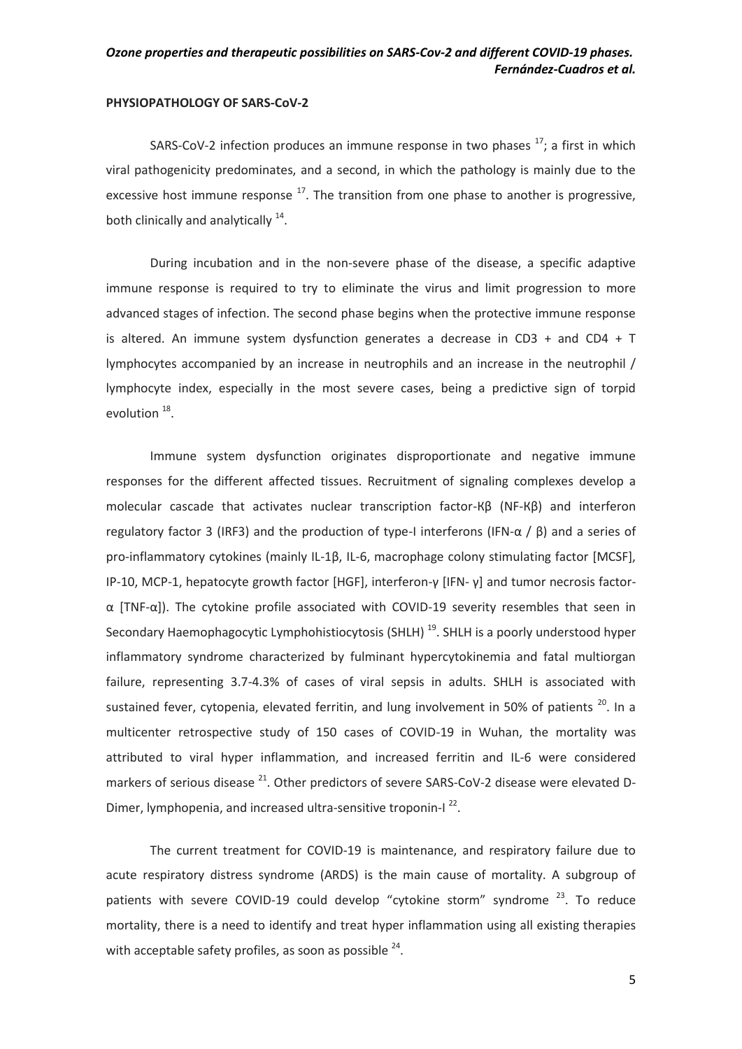#### **PHYSIOPATHOLOGY OF SARS-CoV-2**

SARS-CoV-2 infection produces an immune response in two phases  $17$ ; a first in which viral pathogenicity predominates, and a second, in which the pathology is mainly due to the excessive host immune response  $17$ . The transition from one phase to another is progressive, both clinically and analytically  $14$ .

During incubation and in the non-severe phase of the disease, a specific adaptive immune response is required to try to eliminate the virus and limit progression to more advanced stages of infection. The second phase begins when the protective immune response is altered. An immune system dysfunction generates a decrease in CD3 + and CD4 + T lymphocytes accompanied by an increase in neutrophils and an increase in the neutrophil / lymphocyte index, especially in the most severe cases, being a predictive sign of torpid evolution<sup>18</sup>.

Immune system dysfunction originates disproportionate and negative immune responses for the different affected tissues. Recruitment of signaling complexes develop a molecular cascade that activates nuclear transcription factor-Кβ (NF-Кβ) and interferon regulatory factor 3 (IRF3) and the production of type-I interferons (IFN-α / β) and a series of pro-inflammatory cytokines (mainly IL-1β, IL-6, macrophage colony stimulating factor [MCSF], IP-10, MCP-1, hepatocyte growth factor [HGF], interferon-γ [IFN- γ] and tumor necrosis factorα [TNF-α]). The cytokine profile associated with COVID-19 severity resembles that seen in Secondary Haemophagocytic Lymphohistiocytosis (SHLH)<sup>19</sup>. SHLH is a poorly understood hyper inflammatory syndrome characterized by fulminant hypercytokinemia and fatal multiorgan failure, representing 3.7-4.3% of cases of viral sepsis in adults. SHLH is associated with sustained fever, cytopenia, elevated ferritin, and lung involvement in 50% of patients  $20$ . In a multicenter retrospective study of 150 cases of COVID-19 in Wuhan, the mortality was attributed to viral hyper inflammation, and increased ferritin and IL-6 were considered markers of serious disease  $^{21}$ . Other predictors of severe SARS-CoV-2 disease were elevated D-Dimer, lymphopenia, and increased ultra-sensitive troponin-I<sup>22</sup>.

The current treatment for COVID-19 is maintenance, and respiratory failure due to acute respiratory distress syndrome (ARDS) is the main cause of mortality. A subgroup of patients with severe COVID-19 could develop "cytokine storm" syndrome <sup>23</sup>. To reduce mortality, there is a need to identify and treat hyper inflammation using all existing therapies with acceptable safety profiles, as soon as possible  $24$ .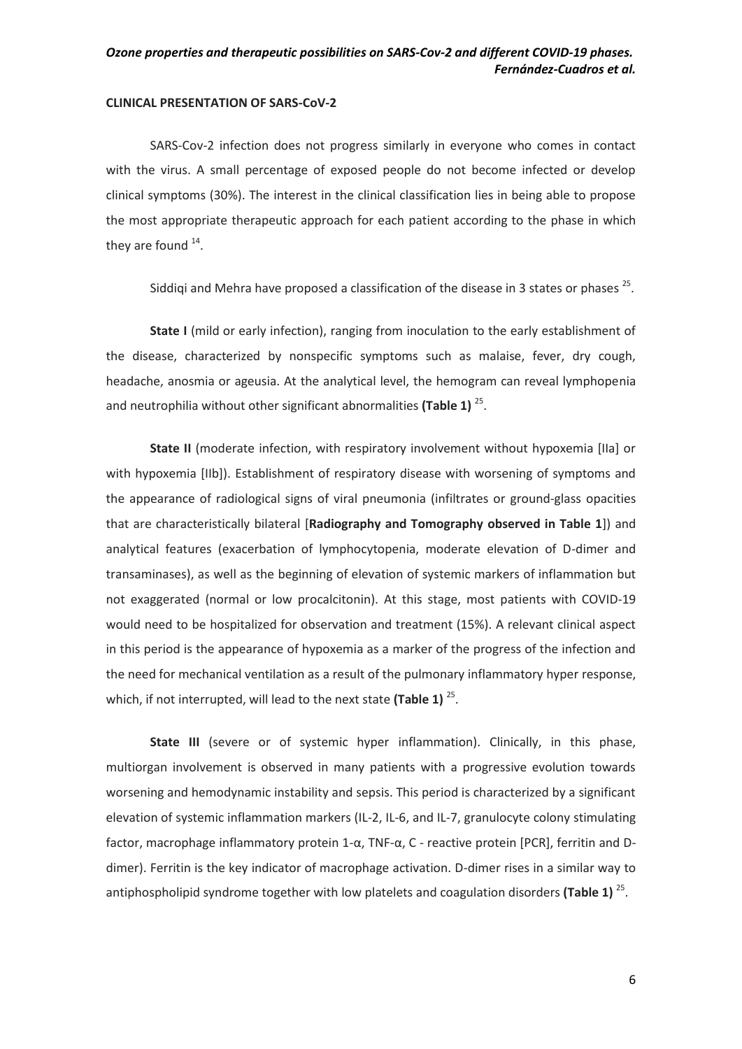#### **CLINICAL PRESENTATION OF SARS-CoV-2**

SARS-Cov-2 infection does not progress similarly in everyone who comes in contact with the virus. A small percentage of exposed people do not become infected or develop clinical symptoms (30%). The interest in the clinical classification lies in being able to propose the most appropriate therapeutic approach for each patient according to the phase in which they are found  $^{14}$ .

Siddiqi and Mehra have proposed a classification of the disease in 3 states or phases  $^{25}$ .

**State I** (mild or early infection), ranging from inoculation to the early establishment of the disease, characterized by nonspecific symptoms such as malaise, fever, dry cough, headache, anosmia or ageusia. At the analytical level, the hemogram can reveal lymphopenia and neutrophilia without other significant abnormalities (Table 1)<sup>25</sup>.

**State II** (moderate infection, with respiratory involvement without hypoxemia [IIa] or with hypoxemia [IIb]). Establishment of respiratory disease with worsening of symptoms and the appearance of radiological signs of viral pneumonia (infiltrates or ground-glass opacities that are characteristically bilateral [**Radiography and Tomography observed in Table 1**]) and analytical features (exacerbation of lymphocytopenia, moderate elevation of D-dimer and transaminases), as well as the beginning of elevation of systemic markers of inflammation but not exaggerated (normal or low procalcitonin). At this stage, most patients with COVID-19 would need to be hospitalized for observation and treatment (15%). A relevant clinical aspect in this period is the appearance of hypoxemia as a marker of the progress of the infection and the need for mechanical ventilation as a result of the pulmonary inflammatory hyper response, which, if not interrupted, will lead to the next state (Table 1)<sup>25</sup>.

**State III** (severe or of systemic hyper inflammation). Clinically, in this phase, multiorgan involvement is observed in many patients with a progressive evolution towards worsening and hemodynamic instability and sepsis. This period is characterized by a significant elevation of systemic inflammation markers (IL-2, IL-6, and IL-7, granulocyte colony stimulating factor, macrophage inflammatory protein 1-α, TNF-α, C - reactive protein [PCR], ferritin and Ddimer). Ferritin is the key indicator of macrophage activation. D-dimer rises in a similar way to antiphospholipid syndrome together with low platelets and coagulation disorders **(Table 1)**<sup>25</sup>.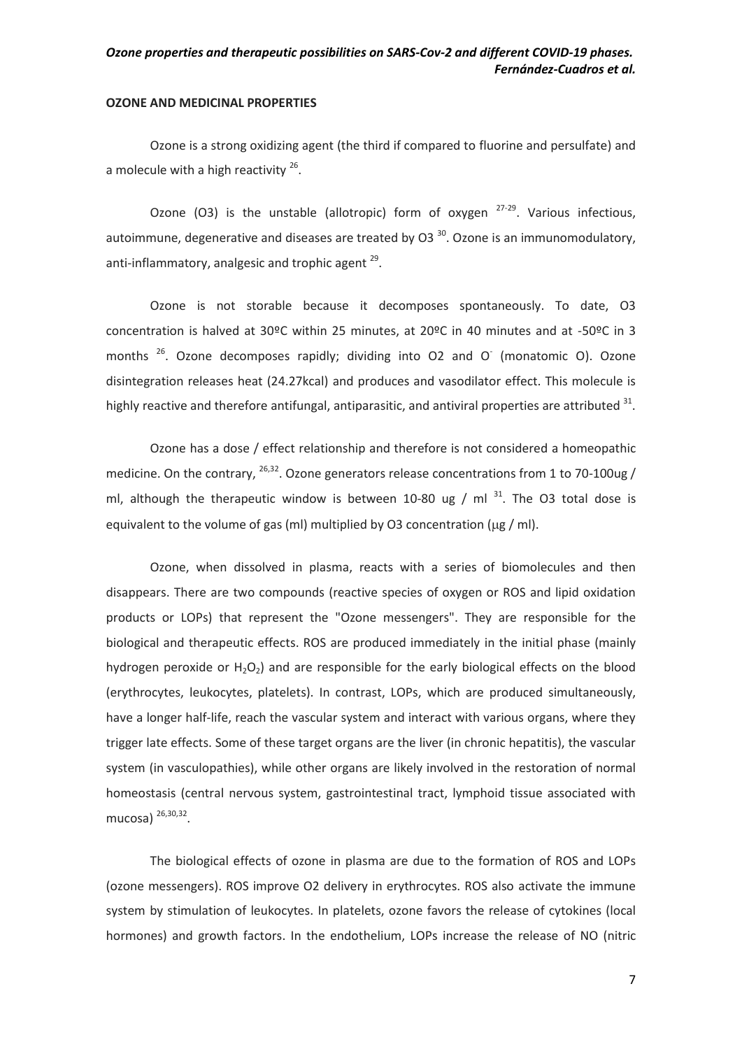#### **OZONE AND MEDICINAL PROPERTIES**

Ozone is a strong oxidizing agent (the third if compared to fluorine and persulfate) and a molecule with a high reactivity  $26$ .

Ozone (O3) is the unstable (allotropic) form of oxygen  $27-29$ . Various infectious, autoimmune, degenerative and diseases are treated by O3 $30$ . Ozone is an immunomodulatory, anti-inflammatory, analgesic and trophic agent  $^{29}$ .

Ozone is not storable because it decomposes spontaneously. To date, O3 concentration is halved at 30ºC within 25 minutes, at 20ºC in 40 minutes and at -50ºC in 3 months  $^{26}$ . Ozone decomposes rapidly; dividing into O2 and O (monatomic O). Ozone disintegration releases heat (24.27kcal) and produces and vasodilator effect. This molecule is highly reactive and therefore antifungal, antiparasitic, and antiviral properties are attributed  $^{31}$ .

Ozone has a dose / effect relationship and therefore is not considered a homeopathic medicine. On the contrary,  $^{26,32}$ . Ozone generators release concentrations from 1 to 70-100ug / ml, although the therapeutic window is between 10-80 ug / ml  $^{31}$ . The O3 total dose is equivalent to the volume of gas (ml) multiplied by O3 concentration ( $\mu$ g / ml).

Ozone, when dissolved in plasma, reacts with a series of biomolecules and then disappears. There are two compounds (reactive species of oxygen or ROS and lipid oxidation products or LOPs) that represent the "Ozone messengers". They are responsible for the biological and therapeutic effects. ROS are produced immediately in the initial phase (mainly hydrogen peroxide or  $H_2O_2$ ) and are responsible for the early biological effects on the blood (erythrocytes, leukocytes, platelets). In contrast, LOPs, which are produced simultaneously, have a longer half-life, reach the vascular system and interact with various organs, where they trigger late effects. Some of these target organs are the liver (in chronic hepatitis), the vascular system (in vasculopathies), while other organs are likely involved in the restoration of normal homeostasis (central nervous system, gastrointestinal tract, lymphoid tissue associated with mucosa) <sup>26,30,32</sup>.

The biological effects of ozone in plasma are due to the formation of ROS and LOPs (ozone messengers). ROS improve O2 delivery in erythrocytes. ROS also activate the immune system by stimulation of leukocytes. In platelets, ozone favors the release of cytokines (local hormones) and growth factors. In the endothelium, LOPs increase the release of NO (nitric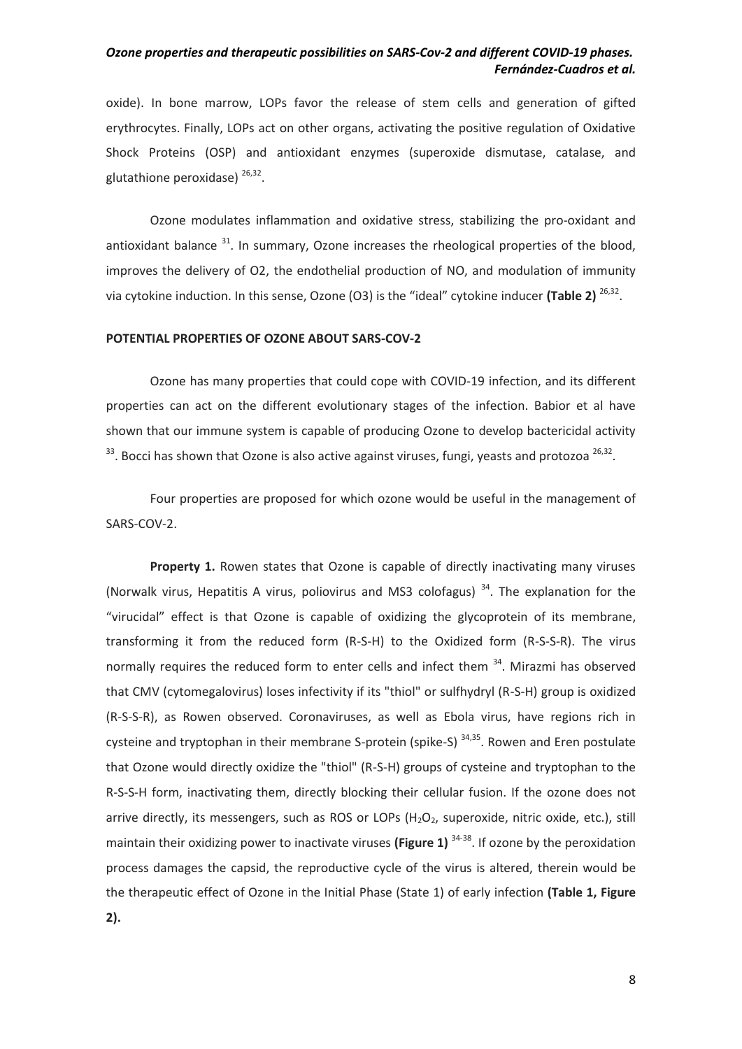oxide). In bone marrow, LOPs favor the release of stem cells and generation of gifted erythrocytes. Finally, LOPs act on other organs, activating the positive regulation of Oxidative Shock Proteins (OSP) and antioxidant enzymes (superoxide dismutase, catalase, and glutathione peroxidase) <sup>26,32</sup>.

Ozone modulates inflammation and oxidative stress, stabilizing the pro-oxidant and antioxidant balance  $31$ . In summary, Ozone increases the rheological properties of the blood, improves the delivery of O2, the endothelial production of NO, and modulation of immunity via cytokine induction. In this sense, Ozone (O3) is the "ideal" cytokine inducer **(Table 2)** <sup>26,32</sup>.

#### **POTENTIAL PROPERTIES OF OZONE ABOUT SARS-COV-2**

Ozone has many properties that could cope with COVID-19 infection, and its different properties can act on the different evolutionary stages of the infection. Babior et al have shown that our immune system is capable of producing Ozone to develop bactericidal activity  $33$ . Bocci has shown that Ozone is also active against viruses, fungi, yeasts and protozoa  $26,32$ .

Four properties are proposed for which ozone would be useful in the management of SARS-COV-2.

**Property 1.** Rowen states that Ozone is capable of directly inactivating many viruses (Norwalk virus, Hepatitis A virus, poliovirus and MS3 colofagus)<sup>34</sup>. The explanation for the "virucidal" effect is that Ozone is capable of oxidizing the glycoprotein of its membrane, transforming it from the reduced form (R-S-H) to the Oxidized form (R-S-S-R). The virus normally requires the reduced form to enter cells and infect them  $34$ . Mirazmi has observed that CMV (cytomegalovirus) loses infectivity if its "thiol" or sulfhydryl (R-S-H) group is oxidized (R-S-S-R), as Rowen observed. Coronaviruses, as well as Ebola virus, have regions rich in cysteine and tryptophan in their membrane S-protein (spike-S)  $34,35$ . Rowen and Eren postulate that Ozone would directly oxidize the "thiol" (R-S-H) groups of cysteine and tryptophan to the R-S-S-H form, inactivating them, directly blocking their cellular fusion. If the ozone does not arrive directly, its messengers, such as ROS or LOPs  $(H_2O_2)$ , superoxide, nitric oxide, etc.), still maintain their oxidizing power to inactivate viruses **(Figure 1)** 34-38. If ozone by the peroxidation process damages the capsid, the reproductive cycle of the virus is altered, therein would be the therapeutic effect of Ozone in the Initial Phase (State 1) of early infection **(Table 1, Figure 2).**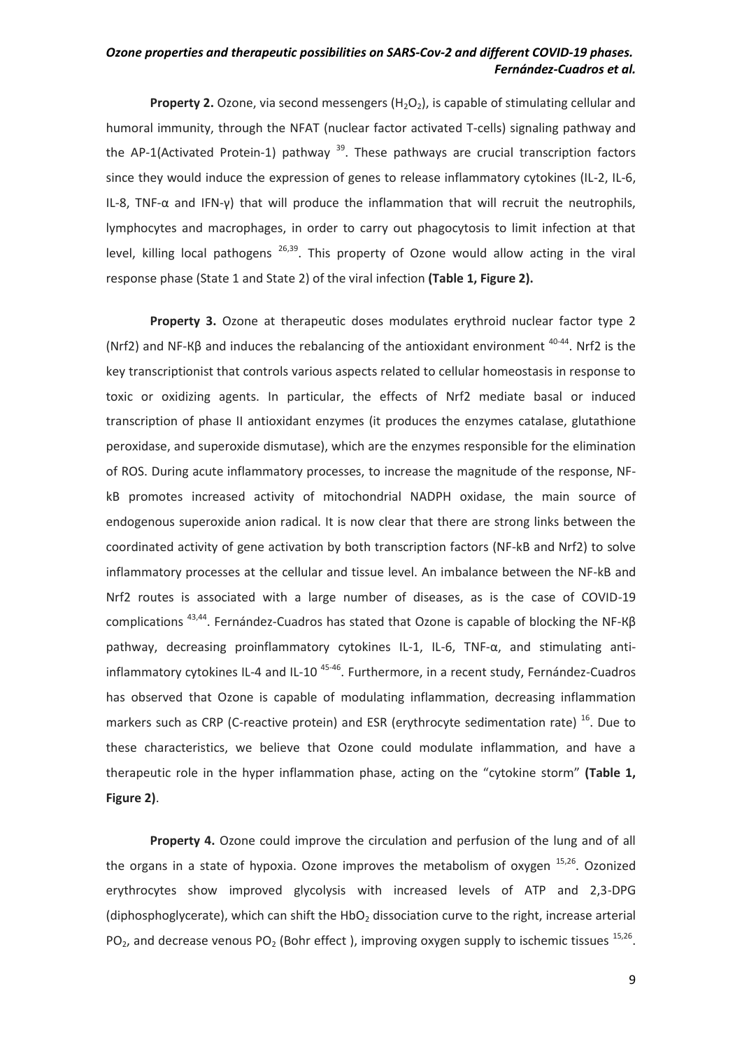**Property 2.** Ozone, via second messengers  $(H_2O_2)$ , is capable of stimulating cellular and humoral immunity, through the NFAT (nuclear factor activated T-cells) signaling pathway and the AP-1(Activated Protein-1) pathway  $^{39}$ . These pathways are crucial transcription factors since they would induce the expression of genes to release inflammatory cytokines (IL-2, IL-6, IL-8, TNF- $\alpha$  and IFN-γ) that will produce the inflammation that will recruit the neutrophils, lymphocytes and macrophages, in order to carry out phagocytosis to limit infection at that level, killing local pathogens  $^{26,39}$ . This property of Ozone would allow acting in the viral response phase (State 1 and State 2) of the viral infection **(Table 1, Figure 2).**

**Property 3.** Ozone at therapeutic doses modulates erythroid nuclear factor type 2 (Nrf2) and NF-K $\beta$  and induces the rebalancing of the antioxidant environment  $40-44$ . Nrf2 is the key transcriptionist that controls various aspects related to cellular homeostasis in response to toxic or oxidizing agents. In particular, the effects of Nrf2 mediate basal or induced transcription of phase II antioxidant enzymes (it produces the enzymes catalase, glutathione peroxidase, and superoxide dismutase), which are the enzymes responsible for the elimination of ROS. During acute inflammatory processes, to increase the magnitude of the response, NFkB promotes increased activity of mitochondrial NADPH oxidase, the main source of endogenous superoxide anion radical. It is now clear that there are strong links between the coordinated activity of gene activation by both transcription factors (NF-kB and Nrf2) to solve inflammatory processes at the cellular and tissue level. An imbalance between the NF-kB and Nrf2 routes is associated with a large number of diseases, as is the case of COVID-19 complications 43,44. Fernández-Cuadros has stated that Ozone is capable of blocking the NF-Кβ pathway, decreasing proinflammatory cytokines IL-1, IL-6, TNF-α, and stimulating antiinflammatory cytokines IL-4 and IL-10<sup>45-46</sup>. Furthermore, in a recent study, Fernández-Cuadros has observed that Ozone is capable of modulating inflammation, decreasing inflammation markers such as CRP (C-reactive protein) and ESR (erythrocyte sedimentation rate)  $^{16}$ . Due to these characteristics, we believe that Ozone could modulate inflammation, and have a therapeutic role in the hyper inflammation phase, acting on the "cytokine storm" **(Table 1, Figure 2)**.

**Property 4.** Ozone could improve the circulation and perfusion of the lung and of all the organs in a state of hypoxia. Ozone improves the metabolism of oxygen  $15,26$ . Ozonized erythrocytes show improved glycolysis with increased levels of ATP and 2,3-DPG (diphosphoglycerate), which can shift the HbO<sub>2</sub> dissociation curve to the right, increase arterial PO<sub>2</sub>, and decrease venous PO<sub>2</sub> (Bohr effect), improving oxygen supply to ischemic tissues  $^{15,26}$ .

9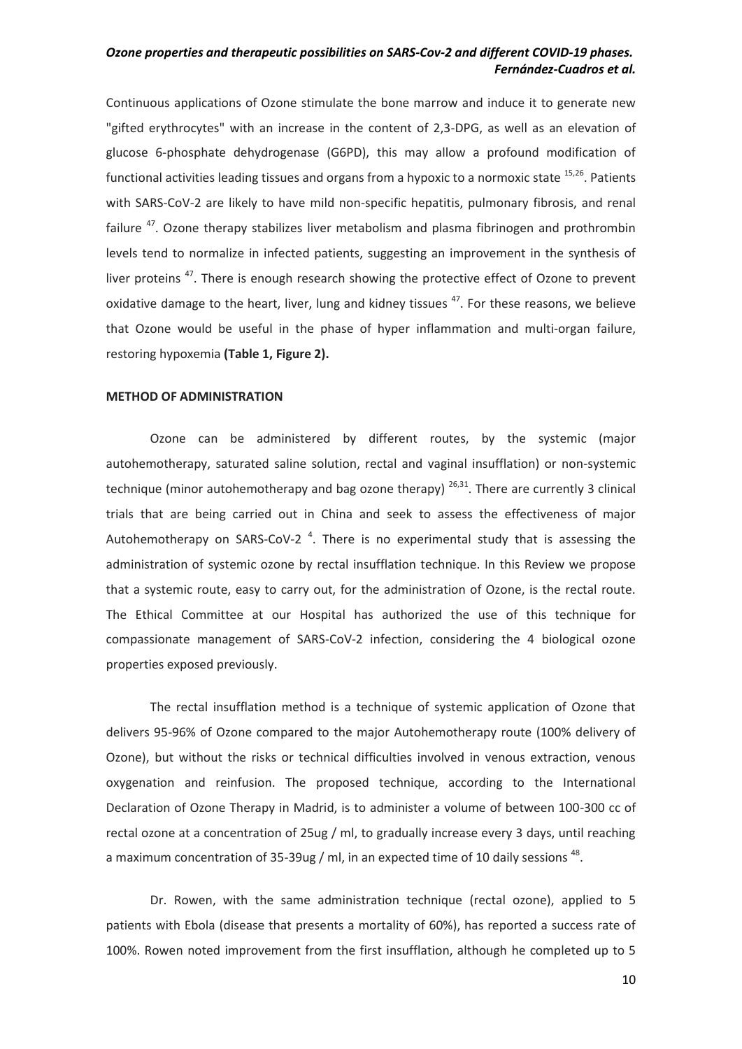Continuous applications of Ozone stimulate the bone marrow and induce it to generate new "gifted erythrocytes" with an increase in the content of 2,3-DPG, as well as an elevation of glucose 6-phosphate dehydrogenase (G6PD), this may allow a profound modification of functional activities leading tissues and organs from a hypoxic to a normoxic state  $15,26$ . Patients with SARS-CoV-2 are likely to have mild non-specific hepatitis, pulmonary fibrosis, and renal failure <sup>47</sup>. Ozone therapy stabilizes liver metabolism and plasma fibrinogen and prothrombin levels tend to normalize in infected patients, suggesting an improvement in the synthesis of liver proteins<sup>47</sup>. There is enough research showing the protective effect of Ozone to prevent oxidative damage to the heart, liver, lung and kidney tissues <sup>47</sup>. For these reasons, we believe that Ozone would be useful in the phase of hyper inflammation and multi-organ failure, restoring hypoxemia **(Table 1, Figure 2).**

#### **METHOD OF ADMINISTRATION**

Ozone can be administered by different routes, by the systemic (major autohemotherapy, saturated saline solution, rectal and vaginal insufflation) or non-systemic technique (minor autohemotherapy and bag ozone therapy)  $^{26,31}$ . There are currently 3 clinical trials that are being carried out in China and seek to assess the effectiveness of major Autohemotherapy on SARS-CoV-2<sup>4</sup>. There is no experimental study that is assessing the administration of systemic ozone by rectal insufflation technique. In this Review we propose that a systemic route, easy to carry out, for the administration of Ozone, is the rectal route. The Ethical Committee at our Hospital has authorized the use of this technique for compassionate management of SARS-CoV-2 infection, considering the 4 biological ozone properties exposed previously.

The rectal insufflation method is a technique of systemic application of Ozone that delivers 95-96% of Ozone compared to the major Autohemotherapy route (100% delivery of Ozone), but without the risks or technical difficulties involved in venous extraction, venous oxygenation and reinfusion. The proposed technique, according to the International Declaration of Ozone Therapy in Madrid, is to administer a volume of between 100-300 cc of rectal ozone at a concentration of 25ug / ml, to gradually increase every 3 days, until reaching a maximum concentration of 35-39ug / ml, in an expected time of 10 daily sessions  $^{48}$ .

Dr. Rowen, with the same administration technique (rectal ozone), applied to 5 patients with Ebola (disease that presents a mortality of 60%), has reported a success rate of 100%. Rowen noted improvement from the first insufflation, although he completed up to 5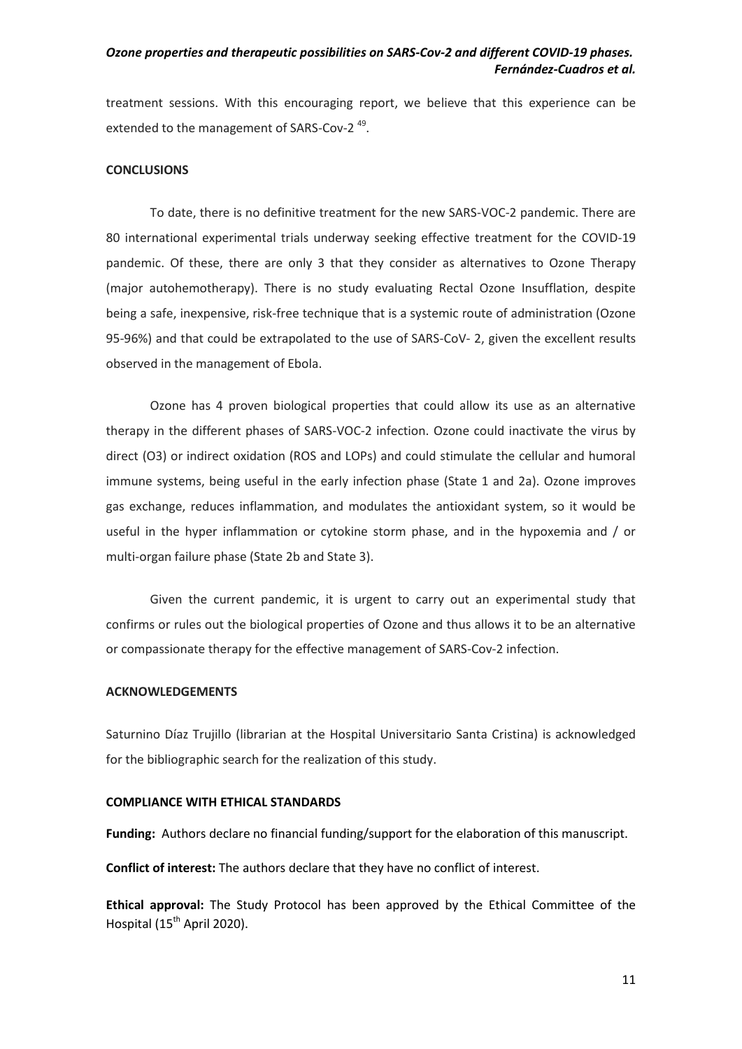treatment sessions. With this encouraging report, we believe that this experience can be extended to the management of SARS-Cov-2<sup>49</sup>.

#### **CONCLUSIONS**

To date, there is no definitive treatment for the new SARS-VOC-2 pandemic. There are 80 international experimental trials underway seeking effective treatment for the COVID-19 pandemic. Of these, there are only 3 that they consider as alternatives to Ozone Therapy (major autohemotherapy). There is no study evaluating Rectal Ozone Insufflation, despite being a safe, inexpensive, risk-free technique that is a systemic route of administration (Ozone 95-96%) and that could be extrapolated to the use of SARS-CoV- 2, given the excellent results observed in the management of Ebola.

Ozone has 4 proven biological properties that could allow its use as an alternative therapy in the different phases of SARS-VOC-2 infection. Ozone could inactivate the virus by direct (O3) or indirect oxidation (ROS and LOPs) and could stimulate the cellular and humoral immune systems, being useful in the early infection phase (State 1 and 2a). Ozone improves gas exchange, reduces inflammation, and modulates the antioxidant system, so it would be useful in the hyper inflammation or cytokine storm phase, and in the hypoxemia and / or multi-organ failure phase (State 2b and State 3).

Given the current pandemic, it is urgent to carry out an experimental study that confirms or rules out the biological properties of Ozone and thus allows it to be an alternative or compassionate therapy for the effective management of SARS-Cov-2 infection.

#### **ACKNOWLEDGEMENTS**

Saturnino Díaz Trujillo (librarian at the Hospital Universitario Santa Cristina) is acknowledged for the bibliographic search for the realization of this study.

#### **COMPLIANCE WITH ETHICAL STANDARDS**

**Funding:** Authors declare no financial funding/support for the elaboration of this manuscript.

**Conflict of interest:** The authors declare that they have no conflict of interest.

**Ethical approval:** The Study Protocol has been approved by the Ethical Committee of the Hospital (15<sup>th</sup> April 2020).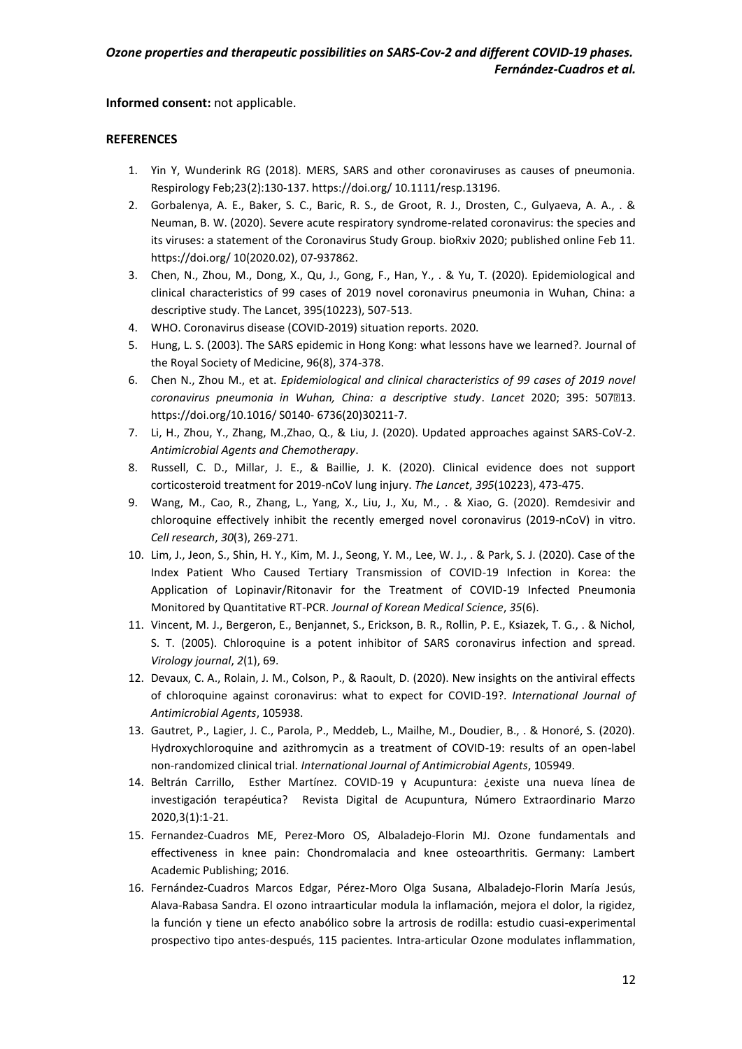**Informed consent:** not applicable.

# **REFERENCES**

- 1. Yin Y, Wunderink RG (2018). MERS, SARS and other coronaviruses as causes of pneumonia. Respirology Feb;23(2):130-137. https://doi.org/ 10.1111/resp.13196.
- 2. Gorbalenya, A. E., Baker, S. C., Baric, R. S., de Groot, R. J., Drosten, C., Gulyaeva, A. A., . & Neuman, B. W. (2020). Severe acute respiratory syndrome-related coronavirus: the species and its viruses: a statement of the Coronavirus Study Group. bioRxiv 2020; published online Feb 11. https://doi.org/ 10(2020.02), 07-937862.
- 3. Chen, N., Zhou, M., Dong, X., Qu, J., Gong, F., Han, Y., . & Yu, T. (2020). Epidemiological and clinical characteristics of 99 cases of 2019 novel coronavirus pneumonia in Wuhan, China: a descriptive study. The Lancet, 395(10223), 507-513.
- 4. WHO. Coronavirus disease (COVID-2019) situation reports. 2020.
- 5. Hung, L. S. (2003). The SARS epidemic in Hong Kong: what lessons have we learned?. Journal of the Royal Society of Medicine, 96(8), 374-378.
- 6. Chen N., Zhou M., et at. *Epidemiological and clinical characteristics of 99 cases of 2019 novel coronavirus pneumonia in Wuhan, China: a descriptive study*. *Lancet* 2020; 395: 50713. https://doi.org/10.1016/ S0140- 6736(20)30211-7.
- 7. Li, H., Zhou, Y., Zhang, M.,Zhao, Q., & Liu, J. (2020). Updated approaches against SARS-CoV-2. *Antimicrobial Agents and Chemotherapy*.
- 8. Russell, C. D., Millar, J. E., & Baillie, J. K. (2020). Clinical evidence does not support corticosteroid treatment for 2019-nCoV lung injury. *The Lancet*, *395*(10223), 473-475.
- 9. Wang, M., Cao, R., Zhang, L., Yang, X., Liu, J., Xu, M., . & Xiao, G. (2020). Remdesivir and chloroquine effectively inhibit the recently emerged novel coronavirus (2019-nCoV) in vitro. *Cell research*, *30*(3), 269-271.
- 10. Lim, J., Jeon, S., Shin, H. Y., Kim, M. J., Seong, Y. M., Lee, W. J., . & Park, S. J. (2020). Case of the Index Patient Who Caused Tertiary Transmission of COVID-19 Infection in Korea: the Application of Lopinavir/Ritonavir for the Treatment of COVID-19 Infected Pneumonia Monitored by Quantitative RT-PCR. *Journal of Korean Medical Science*, *35*(6).
- 11. Vincent, M. J., Bergeron, E., Benjannet, S., Erickson, B. R., Rollin, P. E., Ksiazek, T. G., . & Nichol, S. T. (2005). Chloroquine is a potent inhibitor of SARS coronavirus infection and spread. *Virology journal*, *2*(1), 69.
- 12. Devaux, C. A., Rolain, J. M., Colson, P., & Raoult, D. (2020). New insights on the antiviral effects of chloroquine against coronavirus: what to expect for COVID-19?. *International Journal of Antimicrobial Agents*, 105938.
- 13. Gautret, P., Lagier, J. C., Parola, P., Meddeb, L., Mailhe, M., Doudier, B., . & Honoré, S. (2020). Hydroxychloroquine and azithromycin as a treatment of COVID-19: results of an open-label non-randomized clinical trial. *International Journal of Antimicrobial Agents*, 105949.
- 14. Beltrán Carrillo, Esther Martínez. COVID-19 y Acupuntura: ¿existe una nueva línea de investigación terapéutica? Revista Digital de Acupuntura, Número Extraordinario Marzo 2020,3(1):1-21.
- 15. Fernandez-Cuadros ME, Perez-Moro OS, Albaladejo-Florin MJ. Ozone fundamentals and effectiveness in knee pain: Chondromalacia and knee osteoarthritis. Germany: Lambert Academic Publishing; 2016.
- 16. Fernández-Cuadros Marcos Edgar, Pérez-Moro Olga Susana, Albaladejo-Florin María Jesús, Alava-Rabasa Sandra. El ozono intraarticular modula la inflamación, mejora el dolor, la rigidez, la función y tiene un efecto anabólico sobre la artrosis de rodilla: estudio cuasi-experimental prospectivo tipo antes-después, 115 pacientes. Intra-articular Ozone modulates inflammation,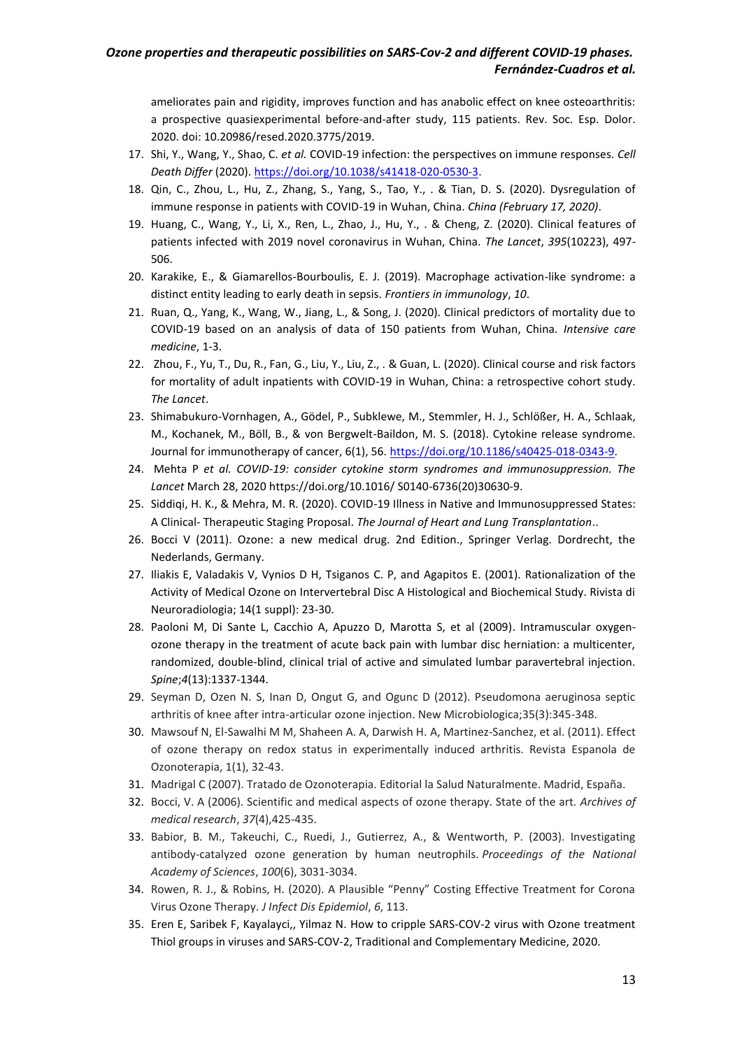ameliorates pain and rigidity, improves function and has anabolic effect on knee osteoarthritis: a prospective quasiexperimental before-and-after study, 115 patients. Rev. Soc. Esp. Dolor. 2020. doi: 10.20986/resed.2020.3775/2019.

- 17. Shi, Y., Wang, Y., Shao, C. *et al.* COVID-19 infection: the perspectives on immune responses. *Cell Death Differ* (2020). [https://doi.org/10.1038/s41418-020-0530-3.](https://doi.org/10.1038/s41418-020-0530-3)
- 18. Qin, C., Zhou, L., Hu, Z., Zhang, S., Yang, S., Tao, Y., . & Tian, D. S. (2020). Dysregulation of immune response in patients with COVID-19 in Wuhan, China. *China (February 17, 2020)*.
- 19. Huang, C., Wang, Y., Li, X., Ren, L., Zhao, J., Hu, Y., . & Cheng, Z. (2020). Clinical features of patients infected with 2019 novel coronavirus in Wuhan, China. *The Lancet*, *395*(10223), 497- 506.
- 20. Karakike, E., & Giamarellos-Bourboulis, E. J. (2019). Macrophage activation-like syndrome: a distinct entity leading to early death in sepsis. *Frontiers in immunology*, *10*.
- 21. Ruan, Q., Yang, K., Wang, W., Jiang, L., & Song, J. (2020). Clinical predictors of mortality due to COVID-19 based on an analysis of data of 150 patients from Wuhan, China. *Intensive care medicine*, 1-3.
- 22. Zhou, F., Yu, T., Du, R., Fan, G., Liu, Y., Liu, Z., . & Guan, L. (2020). Clinical course and risk factors for mortality of adult inpatients with COVID-19 in Wuhan, China: a retrospective cohort study. *The Lancet*.
- 23. Shimabukuro-Vornhagen, A., Gödel, P., Subklewe, M., Stemmler, H. J., Schlößer, H. A., Schlaak, M., Kochanek, M., Böll, B., & von Bergwelt-Baildon, M. S. (2018). Cytokine release syndrome. Journal for immunotherapy of cancer, 6(1), 56. [https://doi.org/10.1186/s40425-018-0343-9.](https://doi.org/10.1186/s40425-018-0343-9)
- 24. Mehta P *et al. COVID-19: consider cytokine storm syndromes and immunosuppression. The Lancet* March 28, 2020 https://doi.org/10.1016/ S0140-6736(20)30630-9.
- 25. Siddiqi, H. K., & Mehra, M. R. (2020). COVID-19 Illness in Native and Immunosuppressed States: A Clinical- Therapeutic Staging Proposal. *The Journal of Heart and Lung Transplantation*..
- 26. Bocci V (2011). Ozone: a new medical drug. 2nd Edition., Springer Verlag. Dordrecht, the Nederlands, Germany.
- 27. Iliakis E, Valadakis V, Vynios D H, Tsiganos C. P, and Agapitos E. (2001). Rationalization of the Activity of Medical Ozone on Intervertebral Disc A Histological and Biochemical Study. Rivista di Neuroradiologia; 14(1 suppl): 23-30.
- 28. Paoloni M, Di Sante L, Cacchio A, Apuzzo D, Marotta S, et al (2009). Intramuscular oxygenozone therapy in the treatment of acute back pain with lumbar disc herniation: a multicenter, randomized, double-blind, clinical trial of active and simulated lumbar paravertebral injection. *Spine*;*4*(13):1337-1344.
- 29. Seyman D, Ozen N. S, Inan D, Ongut G, and Ogunc D (2012). Pseudomona aeruginosa septic arthritis of knee after intra-articular ozone injection. New Microbiologica;35(3):345-348.
- 30. Mawsouf N, El-Sawalhi M M, Shaheen A. A, Darwish H. A, Martinez-Sanchez, et al. (2011). Effect of ozone therapy on redox status in experimentally induced arthritis. Revista Espanola de Ozonoterapia, 1(1), 32-43.
- 31. Madrigal C (2007). Tratado de Ozonoterapia. Editorial la Salud Naturalmente. Madrid, España.
- 32. Bocci, V. A (2006). Scientific and medical aspects of ozone therapy. State of the art. *Archives of medical research*, *37*(4),425-435.
- 33. Babior, B. M., Takeuchi, C., Ruedi, J., Gutierrez, A., & Wentworth, P. (2003). Investigating antibody-catalyzed ozone generation by human neutrophils. *Proceedings of the National Academy of Sciences*, *100*(6), 3031-3034.
- 34. Rowen, R. J., & Robins, H. (2020). A Plausible "Penny" Costing Effective Treatment for Corona Virus Ozone Therapy. *J Infect Dis Epidemiol*, *6*, 113.
- 35. Eren E, Saribek F, Kayalayci,, Yilmaz N. How to cripple SARS-COV-2 virus with Ozone treatment Thiol groups in viruses and SARS-COV-2, Traditional and Complementary Medicine, 2020.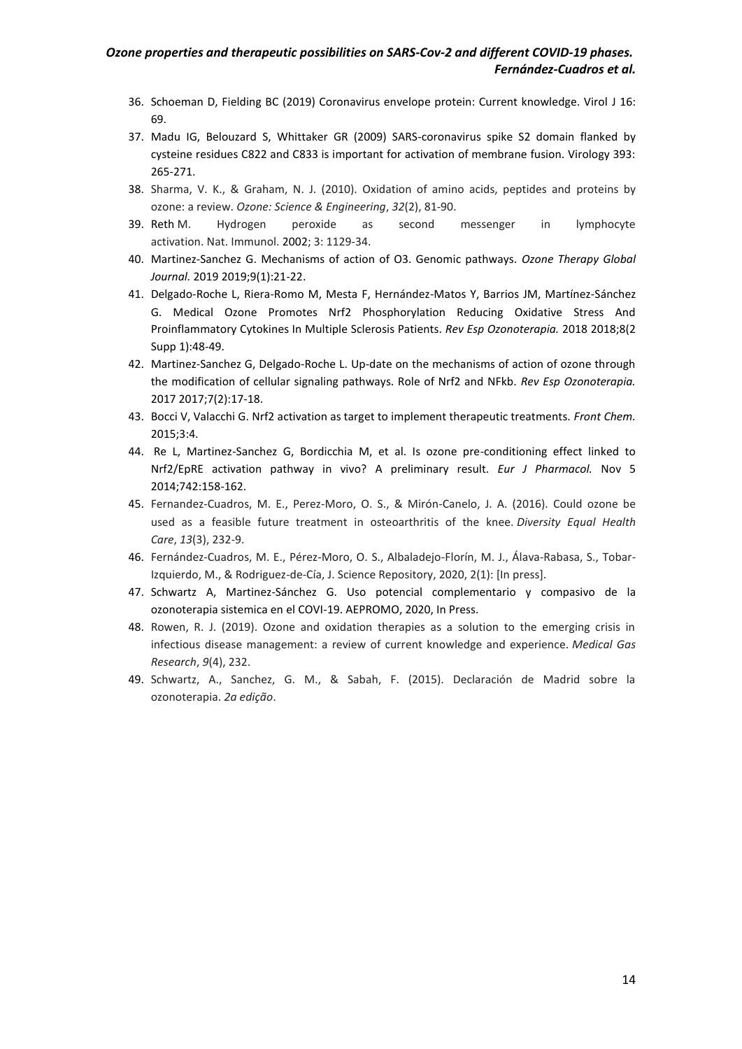- 36. Schoeman D, Fielding BC (2019) Coronavirus envelope protein: Current knowledge. Virol J 16: 69.
- 37. Madu IG, Belouzard S, Whittaker GR (2009) SARS-coronavirus spike S2 domain flanked by cysteine residues C822 and C833 is important for activation of membrane fusion. Virology 393: 265-271.
- 38. Sharma, V. K., & Graham, N. J. (2010). Oxidation of amino acids, peptides and proteins by ozone: a review. *Ozone: Science & Engineering*, *32*(2), 81-90.
- 39. Reth M. Hydrogen peroxide as second messenger in lymphocyte activation. Nat. Immunol. 2002; 3: 1129-34.
- 40. Martinez-Sanchez G. Mechanisms of action of O3. Genomic pathways. *Ozone Therapy Global Journal.* 2019 2019;9(1):21-22.
- 41. Delgado-Roche L, Riera-Romo M, Mesta F, Hernández-Matos Y, Barrios JM, Martínez-Sánchez G. Medical Ozone Promotes Nrf2 Phosphorylation Reducing Oxidative Stress And Proinflammatory Cytokines In Multiple Sclerosis Patients. *Rev Esp Ozonoterapia.* 2018 2018;8(2 Supp 1):48-49.
- 42. Martinez-Sanchez G, Delgado-Roche L. Up-date on the mechanisms of action of ozone through the modification of cellular signaling pathways. Role of Nrf2 and NFkb. *Rev Esp Ozonoterapia.*  2017 2017;7(2):17-18.
- 43. Bocci V, Valacchi G. Nrf2 activation as target to implement therapeutic treatments. *Front Chem.*  2015;3:4.
- 44. Re L, Martinez-Sanchez G, Bordicchia M, et al. Is ozone pre-conditioning effect linked to Nrf2/EpRE activation pathway in vivo? A preliminary result. *Eur J Pharmacol.* Nov 5 2014;742:158-162.
- 45. Fernandez-Cuadros, M. E., Perez-Moro, O. S., & Mirón-Canelo, J. A. (2016). Could ozone be used as a feasible future treatment in osteoarthritis of the knee. *Diversity Equal Health Care*, *13*(3), 232-9.
- 46. Fernández-Cuadros, M. E., Pérez-Moro, O. S., Albaladejo-Florín, M. J., Álava-Rabasa, S., Tobar-Izquierdo, M., & Rodriguez-de-Cía, J. Science Repository, 2020, 2(1): [In press].
- 47. Schwartz A, Martinez-Sánchez G. Uso potencial complementario y compasivo de la ozonoterapia sistemica en el COVI-19. AEPROMO, 2020, In Press.
- 48. Rowen, R. J. (2019). Ozone and oxidation therapies as a solution to the emerging crisis in infectious disease management: a review of current knowledge and experience. *Medical Gas Research*, *9*(4), 232.
- 49. Schwartz, A., Sanchez, G. M., & Sabah, F. (2015). Declaración de Madrid sobre la ozonoterapia. *2a edição*.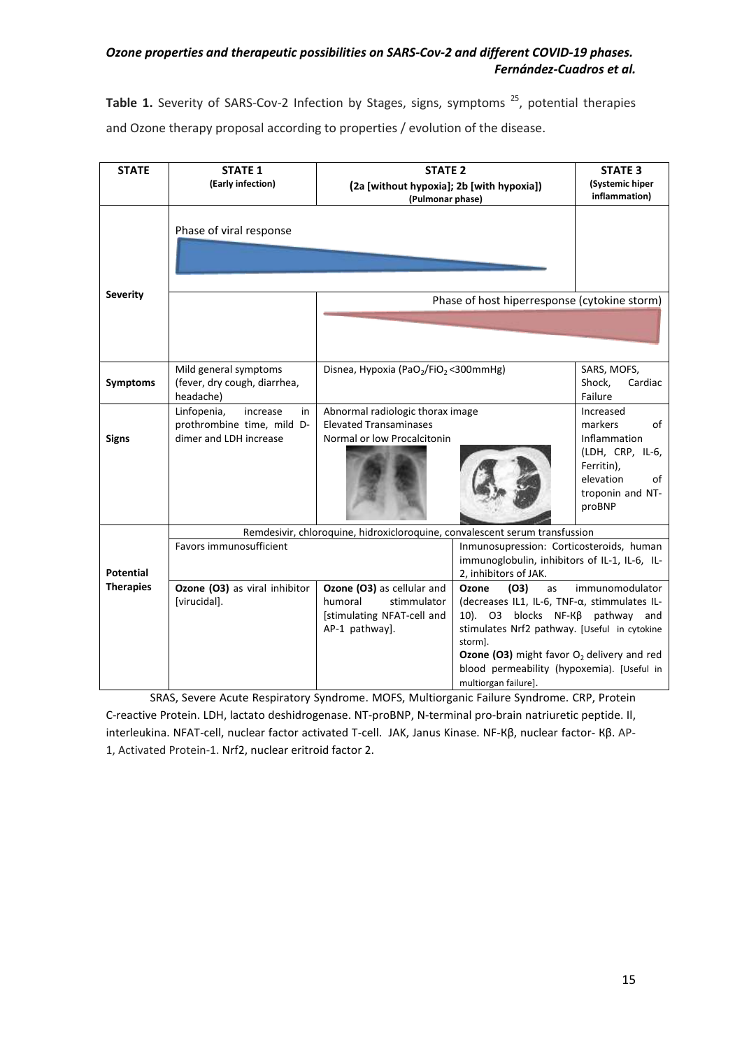**Table 1.** Severity of SARS-Cov-2 Infection by Stages, signs, symptoms<sup>25</sup>, potential therapies and Ozone therapy proposal according to properties / evolution of the disease.

| <b>STATE</b>                         | <b>STATE 1</b>                                                                        | <b>STATE 2</b>                                                                                                                                                                                                                    |                                                                                                                                                                                                                                                                                                                    | <b>STATE 3</b>                                                                                                     |  |
|--------------------------------------|---------------------------------------------------------------------------------------|-----------------------------------------------------------------------------------------------------------------------------------------------------------------------------------------------------------------------------------|--------------------------------------------------------------------------------------------------------------------------------------------------------------------------------------------------------------------------------------------------------------------------------------------------------------------|--------------------------------------------------------------------------------------------------------------------|--|
|                                      | (Early infection)                                                                     | (2a [without hypoxia]; 2b [with hypoxia])                                                                                                                                                                                         |                                                                                                                                                                                                                                                                                                                    | (Systemic hiper<br>inflammation)                                                                                   |  |
|                                      |                                                                                       | (Pulmonar phase)                                                                                                                                                                                                                  |                                                                                                                                                                                                                                                                                                                    |                                                                                                                    |  |
|                                      | Phase of viral response                                                               |                                                                                                                                                                                                                                   |                                                                                                                                                                                                                                                                                                                    |                                                                                                                    |  |
| <b>Severity</b>                      |                                                                                       | Phase of host hiperresponse (cytokine storm)                                                                                                                                                                                      |                                                                                                                                                                                                                                                                                                                    |                                                                                                                    |  |
|                                      |                                                                                       |                                                                                                                                                                                                                                   |                                                                                                                                                                                                                                                                                                                    |                                                                                                                    |  |
| <b>Symptoms</b>                      | Mild general symptoms<br>(fever, dry cough, diarrhea,<br>headache)                    | Disnea, Hypoxia (PaO <sub>2</sub> /FiO <sub>2</sub> < 300mmHg)<br>Shock,<br>Failure                                                                                                                                               |                                                                                                                                                                                                                                                                                                                    | SARS, MOFS,<br>Cardiac                                                                                             |  |
| <b>Signs</b>                         | Linfopenia,<br>increase<br>in<br>prothrombine time, mild D-<br>dimer and LDH increase | Abnormal radiologic thorax image<br>Increased<br><b>Elevated Transaminases</b><br>markers<br>of<br>Normal or low Procalcitonin<br>Inflammation<br>(LDH, CRP, IL-6,<br>Ferritin),<br>elevation<br>of<br>troponin and NT-<br>proBNP |                                                                                                                                                                                                                                                                                                                    |                                                                                                                    |  |
|                                      | Remdesivir, chloroquine, hidroxicloroquine, convalescent serum transfussion           |                                                                                                                                                                                                                                   |                                                                                                                                                                                                                                                                                                                    |                                                                                                                    |  |
| <b>Potential</b><br><b>Therapies</b> | Favors immunosufficient                                                               |                                                                                                                                                                                                                                   |                                                                                                                                                                                                                                                                                                                    | Inmunosupression: Corticosteroids, human<br>immunoglobulin, inhibitors of IL-1, IL-6, IL-<br>2, inhibitors of JAK. |  |
|                                      | Ozone (O3) as viral inhibitor<br>[virucidal].                                         | Ozone (O3) as cellular and<br>humoral<br>stimmulator<br>[stimulating NFAT-cell and<br>AP-1 pathway].                                                                                                                              | Ozone<br>(O3)<br>as<br>immunomodulator<br>(decreases IL1, IL-6, TNF-α, stimmulates IL-<br>10). O3 blocks NF-Kβ pathway and<br>stimulates Nrf2 pathway. [Useful in cytokine<br>storm].<br><b>Ozone (O3)</b> might favor $O2$ delivery and red<br>blood permeability (hypoxemia). [Useful in<br>multiorgan failure]. |                                                                                                                    |  |

SRAS, Severe Acute Respiratory Syndrome. MOFS, Multiorganic Failure Syndrome. CRP, Protein C-reactive Protein. LDH, lactato deshidrogenase. NT-proBNP, N-terminal pro-brain natriuretic peptide. Il, interleukina. NFAT-cell, nuclear factor activated T-cell. JAK, Janus Kinase. NF-Кβ, nuclear factor- Кβ. AP-1, Activated Protein-1. Nrf2, nuclear eritroid factor 2.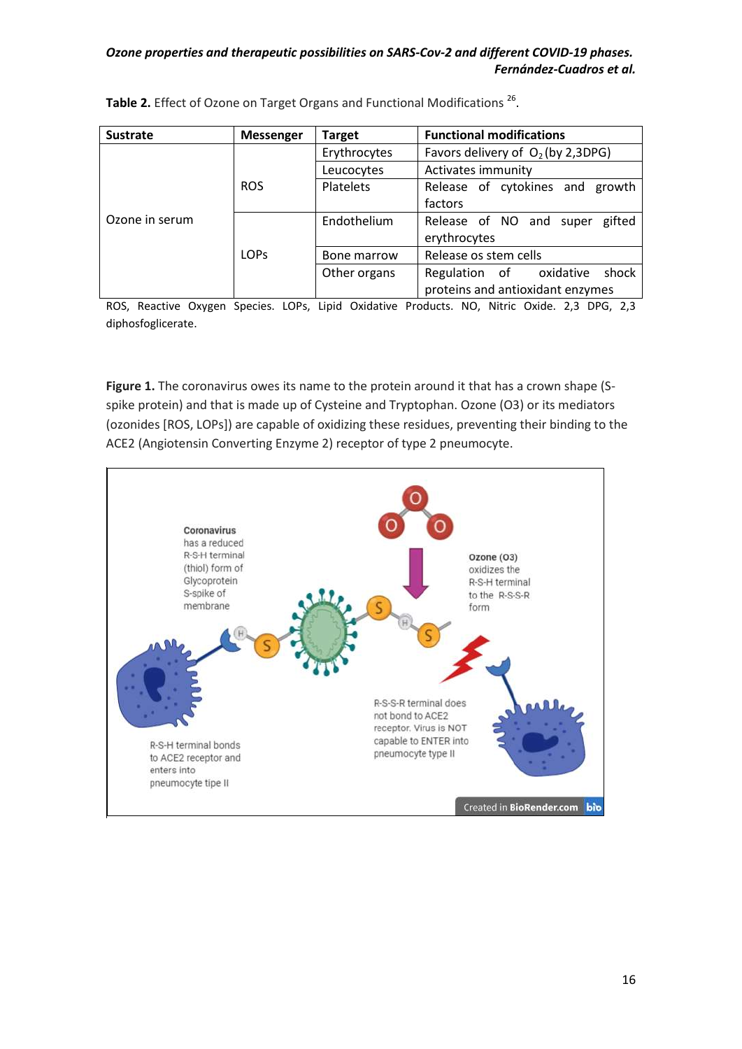| <b>Sustrate</b> | <b>Messenger</b> | <b>Target</b>    | <b>Functional modifications</b>     |  |
|-----------------|------------------|------------------|-------------------------------------|--|
|                 |                  | Erythrocytes     | Favors delivery of $O2$ (by 2,3DPG) |  |
|                 |                  | Leucocytes       | Activates immunity                  |  |
|                 | <b>ROS</b>       | <b>Platelets</b> | Release of cytokines and growth     |  |
|                 |                  |                  | factors                             |  |
| Ozone in serum  | LOP <sub>S</sub> | Endothelium      | Release of NO and super<br>gifted   |  |
|                 |                  |                  | erythrocytes                        |  |
|                 |                  | Bone marrow      | Release os stem cells               |  |
|                 |                  | Other organs     | Regulation of oxidative<br>shock    |  |
|                 |                  |                  | proteins and antioxidant enzymes    |  |

Table 2. Effect of Ozone on Target Organs and Functional Modifications<sup>26</sup>.

ROS, Reactive Oxygen Species. LOPs, Lipid Oxidative Products. NO, Nitric Oxide. 2,3 DPG, 2,3 diphosfoglicerate.

Figure 1. The coronavirus owes its name to the protein around it that has a crown shape (Sspike protein) and that is made up of Cysteine and Tryptophan. Ozone (O3) or its mediators (ozonides [ROS, LOPs]) are capable of oxidizing these residues, preventing their binding to the ACE2 (Angiotensin Converting Enzyme 2) receptor of type 2 pneumocyte.